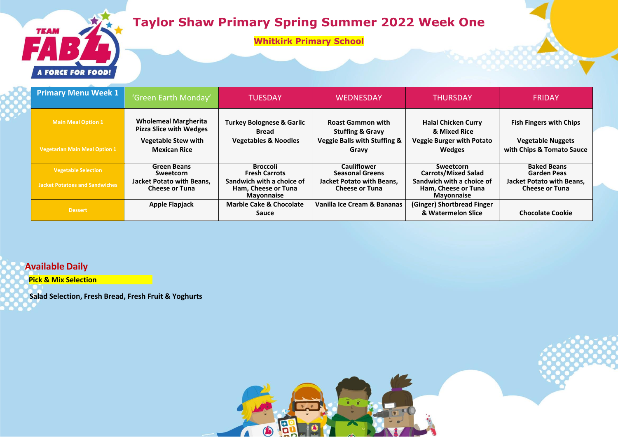

**Whitkirk Primary School**



| <b>Primary Menu Week 1</b>            | 'Green Earth Monday'                                          | <b>TUESDAY</b>                                                        | <b>WEDNESDAY</b>                                        | <b>THURSDAY</b>                                                       | <b>FRIDAY</b>                                             |
|---------------------------------------|---------------------------------------------------------------|-----------------------------------------------------------------------|---------------------------------------------------------|-----------------------------------------------------------------------|-----------------------------------------------------------|
| <b>Main Meal Option 1</b>             | <b>Wholemeal Margherita</b><br><b>Pizza Slice with Wedges</b> | <b>Turkey Bolognese &amp; Garlic</b><br><b>Bread</b>                  | <b>Roast Gammon with</b><br><b>Stuffing &amp; Gravy</b> | <b>Halal Chicken Curry</b><br>& Mixed Rice                            | <b>Fish Fingers with Chips</b>                            |
| <b>Vegetarian Main Meal Option 1</b>  | <b>Vegetable Stew with</b><br><b>Mexican Rice</b>             | <b>Vegetables &amp; Noodles</b>                                       | <b>Veggie Balls with Stuffing &amp;</b><br>Gravy        | <b>Veggie Burger with Potato</b><br><b>Wedges</b>                     | <b>Vegetable Nuggets</b><br>with Chips & Tomato Sauce     |
| <b>Vegetable Selection</b>            | <b>Green Beans</b><br>Sweetcorn                               | <b>Broccoli</b><br><b>Fresh Carrots</b>                               | <b>Cauliflower</b><br><b>Seasonal Greens</b>            | Sweetcorn<br><b>Carrots/Mixed Salad</b>                               | <b>Baked Beans</b><br><b>Garden Peas</b>                  |
| <b>Jacket Potatoes and Sandwiches</b> | <b>Jacket Potato with Beans,</b><br><b>Cheese or Tuna</b>     | Sandwich with a choice of<br>Ham, Cheese or Tuna<br><b>Mayonnaise</b> | Jacket Potato with Beans,<br><b>Cheese or Tuna</b>      | Sandwich with a choice of<br>Ham, Cheese or Tuna<br><b>Mayonnaise</b> | <b>Jacket Potato with Beans,</b><br><b>Cheese or Tuna</b> |
| <b>Dessert</b>                        | <b>Apple Flapjack</b>                                         | <b>Marble Cake &amp; Chocolate</b><br>Sauce                           | Vanilla Ice Cream & Bananas                             | (Ginger) Shortbread Finger<br>& Watermelon Slice                      | <b>Chocolate Cookie</b>                                   |

8

 $\bigcirc$ 

 $\Lambda$ 

## **Available Daily**

**Pick & Mix Selection**

**Salad Selection, Fresh Bread, Fresh Fruit & Yoghurts**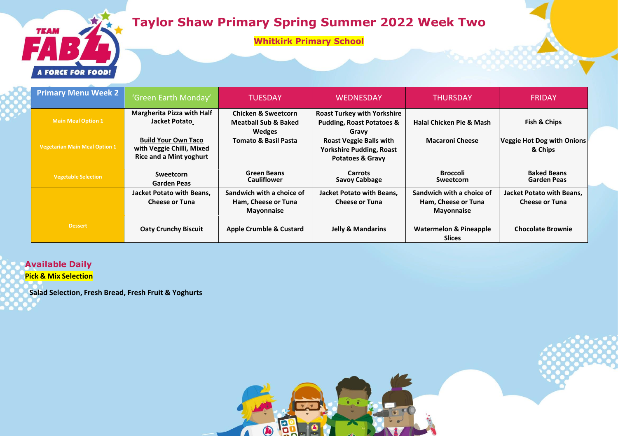## **Taylor Shaw Primary Spring Summer 2022 Week Two**

**Whitkirk Primary School**



**Available Daily Pick & Mix Selection**

**TEAM** 

**Salad Selection, Fresh Bread, Fresh Fruit & Yoghurts**